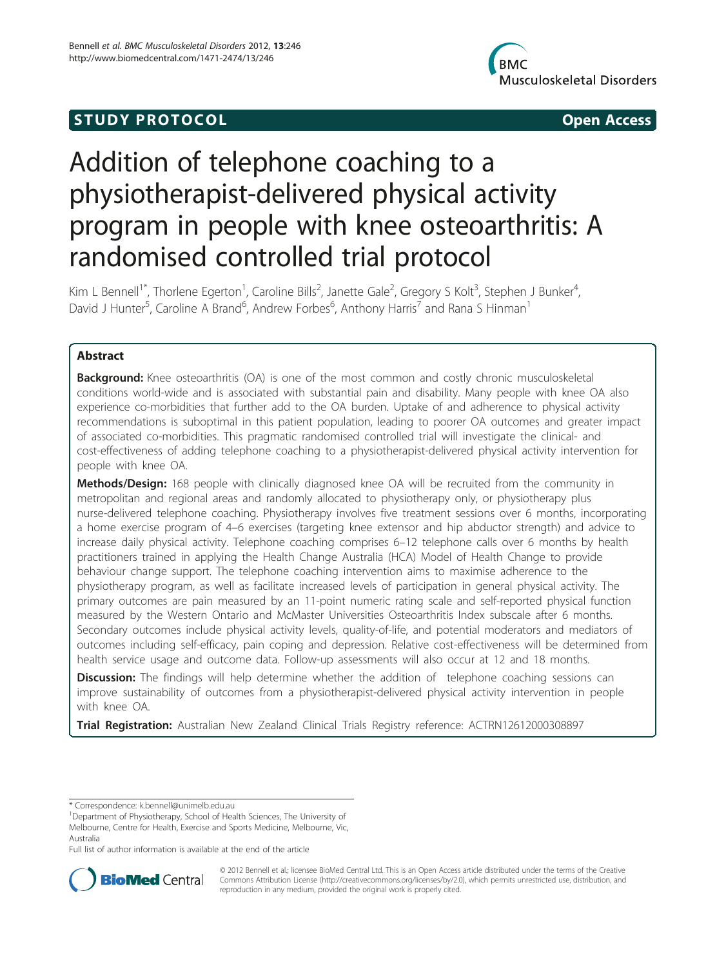## **STUDY PROTOCOL** And the set of the set of the set of the set of the set of the set of the set of the set of the set of the set of the set of the set of the set of the set of the set of the set of the set of the set of the



# Addition of telephone coaching to a physiotherapist-delivered physical activity program in people with knee osteoarthritis: A randomised controlled trial protocol

Kim L Bennell<sup>1\*</sup>, Thorlene Egerton<sup>1</sup>, Caroline Bills<sup>2</sup>, Janette Gale<sup>2</sup>, Gregory S Kolt<sup>3</sup>, Stephen J Bunker<sup>4</sup> , David J Hunter<sup>5</sup>, Caroline A Brand<sup>6</sup>, Andrew Forbes<sup>6</sup>, Anthony Harris<sup>7</sup> and Rana S Hinman<sup>1</sup>

### Abstract

Background: Knee osteoarthritis (OA) is one of the most common and costly chronic musculoskeletal conditions world-wide and is associated with substantial pain and disability. Many people with knee OA also experience co-morbidities that further add to the OA burden. Uptake of and adherence to physical activity recommendations is suboptimal in this patient population, leading to poorer OA outcomes and greater impact of associated co-morbidities. This pragmatic randomised controlled trial will investigate the clinical- and cost-effectiveness of adding telephone coaching to a physiotherapist-delivered physical activity intervention for people with knee OA.

Methods/Design: 168 people with clinically diagnosed knee OA will be recruited from the community in metropolitan and regional areas and randomly allocated to physiotherapy only, or physiotherapy plus nurse-delivered telephone coaching. Physiotherapy involves five treatment sessions over 6 months, incorporating a home exercise program of 4–6 exercises (targeting knee extensor and hip abductor strength) and advice to increase daily physical activity. Telephone coaching comprises 6–12 telephone calls over 6 months by health practitioners trained in applying the Health Change Australia (HCA) Model of Health Change to provide behaviour change support. The telephone coaching intervention aims to maximise adherence to the physiotherapy program, as well as facilitate increased levels of participation in general physical activity. The primary outcomes are pain measured by an 11-point numeric rating scale and self-reported physical function measured by the Western Ontario and McMaster Universities Osteoarthritis Index subscale after 6 months. Secondary outcomes include physical activity levels, quality-of-life, and potential moderators and mediators of outcomes including self-efficacy, pain coping and depression. Relative cost-effectiveness will be determined from health service usage and outcome data. Follow-up assessments will also occur at 12 and 18 months.

Discussion: The findings will help determine whether the addition of telephone coaching sessions can improve sustainability of outcomes from a physiotherapist-delivered physical activity intervention in people with knee OA.

Trial Registration: Australian New Zealand Clinical Trials Registry reference: ACTRN12612000308897

\* Correspondence: [k.bennell@unimelb.edu.au](mailto:k.bennell@unimelb.edu.au) <sup>1</sup>

<sup>1</sup>Department of Physiotherapy, School of Health Sciences, The University of Melbourne, Centre for Health, Exercise and Sports Medicine, Melbourne, Vic, Australia

Full list of author information is available at the end of the article



© 2012 Bennell et al.; licensee BioMed Central Ltd. This is an Open Access article distributed under the terms of the Creative Commons Attribution License [\(http://creativecommons.org/licenses/by/2.0\)](http://creativecommons.org/licenses/by/2.0), which permits unrestricted use, distribution, and reproduction in any medium, provided the original work is properly cited.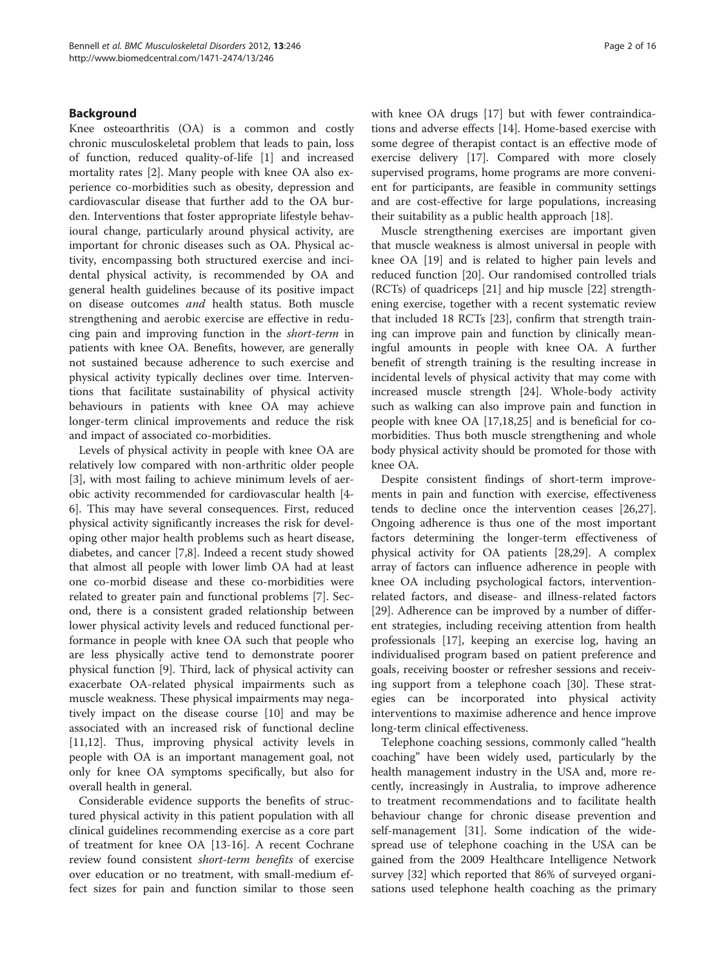#### Background

Knee osteoarthritis (OA) is a common and costly chronic musculoskeletal problem that leads to pain, loss of function, reduced quality-of-life [[1\]](#page-13-0) and increased mortality rates [[2\]](#page-13-0). Many people with knee OA also experience co-morbidities such as obesity, depression and cardiovascular disease that further add to the OA burden. Interventions that foster appropriate lifestyle behavioural change, particularly around physical activity, are important for chronic diseases such as OA. Physical activity, encompassing both structured exercise and incidental physical activity, is recommended by OA and general health guidelines because of its positive impact on disease outcomes and health status. Both muscle strengthening and aerobic exercise are effective in reducing pain and improving function in the short-term in patients with knee OA. Benefits, however, are generally not sustained because adherence to such exercise and physical activity typically declines over time. Interventions that facilitate sustainability of physical activity behaviours in patients with knee OA may achieve longer-term clinical improvements and reduce the risk and impact of associated co-morbidities.

Levels of physical activity in people with knee OA are relatively low compared with non-arthritic older people [[3\]](#page-13-0), with most failing to achieve minimum levels of aerobic activity recommended for cardiovascular health [\[4-](#page-13-0) [6\]](#page-13-0). This may have several consequences. First, reduced physical activity significantly increases the risk for developing other major health problems such as heart disease, diabetes, and cancer [[7,](#page-13-0)[8\]](#page-14-0). Indeed a recent study showed that almost all people with lower limb OA had at least one co-morbid disease and these co-morbidities were related to greater pain and functional problems [[7\]](#page-13-0). Second, there is a consistent graded relationship between lower physical activity levels and reduced functional performance in people with knee OA such that people who are less physically active tend to demonstrate poorer physical function [[9\]](#page-14-0). Third, lack of physical activity can exacerbate OA-related physical impairments such as muscle weakness. These physical impairments may negatively impact on the disease course [\[10\]](#page-14-0) and may be associated with an increased risk of functional decline [[11,12\]](#page-14-0). Thus, improving physical activity levels in people with OA is an important management goal, not only for knee OA symptoms specifically, but also for overall health in general.

Considerable evidence supports the benefits of structured physical activity in this patient population with all clinical guidelines recommending exercise as a core part of treatment for knee OA [\[13](#page-14-0)-[16\]](#page-14-0). A recent Cochrane review found consistent short-term benefits of exercise over education or no treatment, with small-medium effect sizes for pain and function similar to those seen with knee OA drugs [[17\]](#page-14-0) but with fewer contraindications and adverse effects [[14\]](#page-14-0). Home-based exercise with some degree of therapist contact is an effective mode of exercise delivery [\[17\]](#page-14-0). Compared with more closely supervised programs, home programs are more convenient for participants, are feasible in community settings and are cost-effective for large populations, increasing their suitability as a public health approach [[18\]](#page-14-0).

Muscle strengthening exercises are important given that muscle weakness is almost universal in people with knee OA [[19\]](#page-14-0) and is related to higher pain levels and reduced function [\[20](#page-14-0)]. Our randomised controlled trials (RCTs) of quadriceps [[21\]](#page-14-0) and hip muscle [[22\]](#page-14-0) strengthening exercise, together with a recent systematic review that included 18 RCTs [[23\]](#page-14-0), confirm that strength training can improve pain and function by clinically meaningful amounts in people with knee OA. A further benefit of strength training is the resulting increase in incidental levels of physical activity that may come with increased muscle strength [[24](#page-14-0)]. Whole-body activity such as walking can also improve pain and function in people with knee OA [[17,18,25\]](#page-14-0) and is beneficial for comorbidities. Thus both muscle strengthening and whole body physical activity should be promoted for those with knee OA.

Despite consistent findings of short-term improvements in pain and function with exercise, effectiveness tends to decline once the intervention ceases [\[26,27](#page-14-0)]. Ongoing adherence is thus one of the most important factors determining the longer-term effectiveness of physical activity for OA patients [\[28,29\]](#page-14-0). A complex array of factors can influence adherence in people with knee OA including psychological factors, interventionrelated factors, and disease- and illness-related factors [[29\]](#page-14-0). Adherence can be improved by a number of different strategies, including receiving attention from health professionals [[17\]](#page-14-0), keeping an exercise log, having an individualised program based on patient preference and goals, receiving booster or refresher sessions and receiving support from a telephone coach [\[30\]](#page-14-0). These strategies can be incorporated into physical activity interventions to maximise adherence and hence improve long-term clinical effectiveness.

Telephone coaching sessions, commonly called "health coaching" have been widely used, particularly by the health management industry in the USA and, more recently, increasingly in Australia, to improve adherence to treatment recommendations and to facilitate health behaviour change for chronic disease prevention and self-management [\[31\]](#page-14-0). Some indication of the widespread use of telephone coaching in the USA can be gained from the 2009 Healthcare Intelligence Network survey [\[32](#page-14-0)] which reported that 86% of surveyed organisations used telephone health coaching as the primary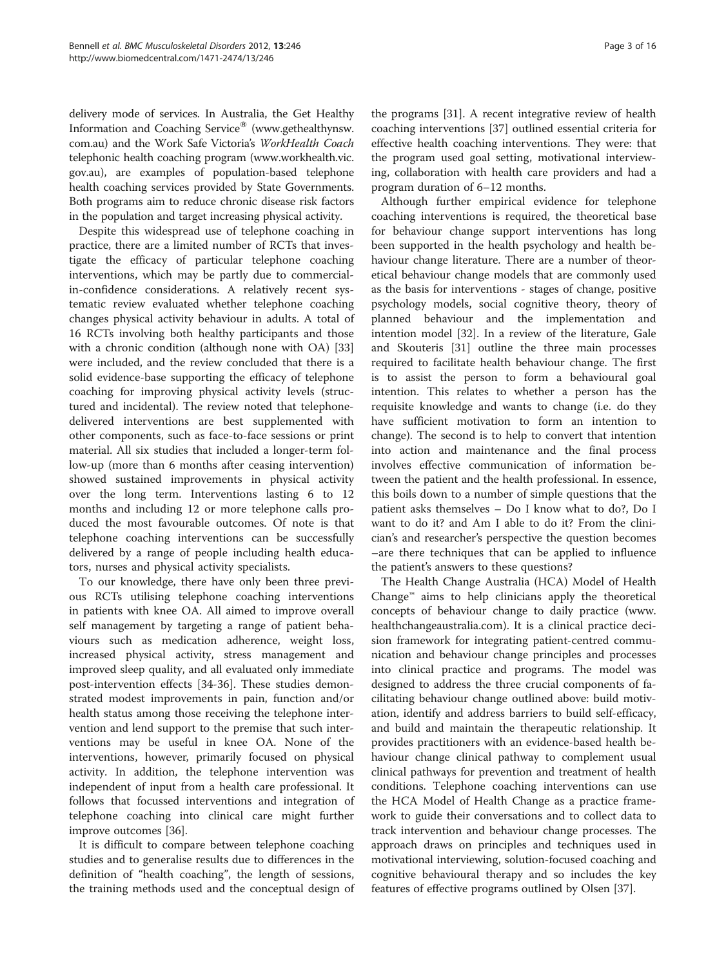delivery mode of services. In Australia, the Get Healthy Information and Coaching Service® ([www.gethealthynsw.](http://www.gethealthynsw.com.au) [com.au\)](http://www.gethealthynsw.com.au) and the Work Safe Victoria's WorkHealth Coach telephonic health coaching program [\(www.workhealth.vic.](http://www.workhealth.vic.gov.au) [gov.au](http://www.workhealth.vic.gov.au)), are examples of population-based telephone health coaching services provided by State Governments. Both programs aim to reduce chronic disease risk factors in the population and target increasing physical activity.

Despite this widespread use of telephone coaching in practice, there are a limited number of RCTs that investigate the efficacy of particular telephone coaching interventions, which may be partly due to commercialin-confidence considerations. A relatively recent systematic review evaluated whether telephone coaching changes physical activity behaviour in adults. A total of 16 RCTs involving both healthy participants and those with a chronic condition (although none with OA) [[33](#page-14-0)] were included, and the review concluded that there is a solid evidence-base supporting the efficacy of telephone coaching for improving physical activity levels (structured and incidental). The review noted that telephonedelivered interventions are best supplemented with other components, such as face-to-face sessions or print material. All six studies that included a longer-term follow-up (more than 6 months after ceasing intervention) showed sustained improvements in physical activity over the long term. Interventions lasting 6 to 12 months and including 12 or more telephone calls produced the most favourable outcomes. Of note is that telephone coaching interventions can be successfully delivered by a range of people including health educators, nurses and physical activity specialists.

To our knowledge, there have only been three previous RCTs utilising telephone coaching interventions in patients with knee OA. All aimed to improve overall self management by targeting a range of patient behaviours such as medication adherence, weight loss, increased physical activity, stress management and improved sleep quality, and all evaluated only immediate post-intervention effects [\[34-36](#page-14-0)]. These studies demonstrated modest improvements in pain, function and/or health status among those receiving the telephone intervention and lend support to the premise that such interventions may be useful in knee OA. None of the interventions, however, primarily focused on physical activity. In addition, the telephone intervention was independent of input from a health care professional. It follows that focussed interventions and integration of telephone coaching into clinical care might further improve outcomes [[36\]](#page-14-0).

It is difficult to compare between telephone coaching studies and to generalise results due to differences in the definition of "health coaching", the length of sessions, the training methods used and the conceptual design of the programs [[31](#page-14-0)]. A recent integrative review of health coaching interventions [\[37](#page-14-0)] outlined essential criteria for effective health coaching interventions. They were: that the program used goal setting, motivational interviewing, collaboration with health care providers and had a program duration of 6–12 months.

Although further empirical evidence for telephone coaching interventions is required, the theoretical base for behaviour change support interventions has long been supported in the health psychology and health behaviour change literature. There are a number of theoretical behaviour change models that are commonly used as the basis for interventions - stages of change, positive psychology models, social cognitive theory, theory of planned behaviour and the implementation and intention model [\[32\]](#page-14-0). In a review of the literature, Gale and Skouteris [\[31\]](#page-14-0) outline the three main processes required to facilitate health behaviour change. The first is to assist the person to form a behavioural goal intention. This relates to whether a person has the requisite knowledge and wants to change (i.e. do they have sufficient motivation to form an intention to change). The second is to help to convert that intention into action and maintenance and the final process involves effective communication of information between the patient and the health professional. In essence, this boils down to a number of simple questions that the patient asks themselves – Do I know what to do?, Do I want to do it? and Am I able to do it? From the clinician's and researcher's perspective the question becomes –are there techniques that can be applied to influence the patient's answers to these questions?

The Health Change Australia (HCA) Model of Health Change™ aims to help clinicians apply the theoretical concepts of behaviour change to daily practice ([www.](http://www.healthchangeaustralia.com) [healthchangeaustralia.com\)](http://www.healthchangeaustralia.com). It is a clinical practice decision framework for integrating patient-centred communication and behaviour change principles and processes into clinical practice and programs. The model was designed to address the three crucial components of facilitating behaviour change outlined above: build motivation, identify and address barriers to build self-efficacy, and build and maintain the therapeutic relationship. It provides practitioners with an evidence-based health behaviour change clinical pathway to complement usual clinical pathways for prevention and treatment of health conditions. Telephone coaching interventions can use the HCA Model of Health Change as a practice framework to guide their conversations and to collect data to track intervention and behaviour change processes. The approach draws on principles and techniques used in motivational interviewing, solution-focused coaching and cognitive behavioural therapy and so includes the key features of effective programs outlined by Olsen [[37](#page-14-0)].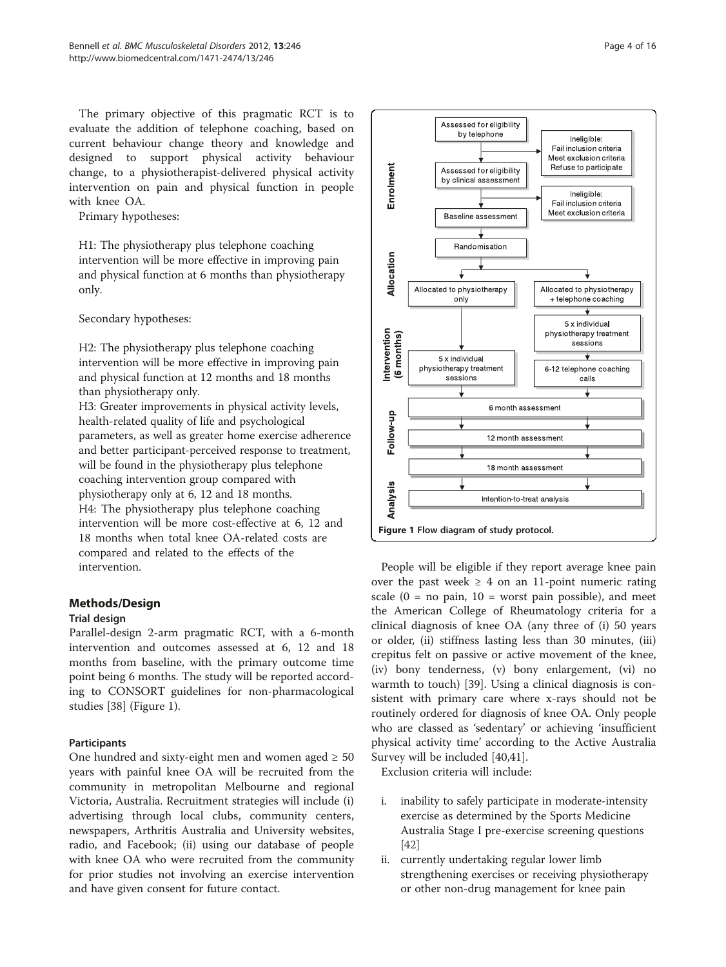The primary objective of this pragmatic RCT is to evaluate the addition of telephone coaching, based on current behaviour change theory and knowledge and designed to support physical activity behaviour change, to a physiotherapist-delivered physical activity intervention on pain and physical function in people with knee OA.

Primary hypotheses:

H1: The physiotherapy plus telephone coaching intervention will be more effective in improving pain and physical function at 6 months than physiotherapy only.

#### Secondary hypotheses:

H2: The physiotherapy plus telephone coaching intervention will be more effective in improving pain and physical function at 12 months and 18 months than physiotherapy only.

H3: Greater improvements in physical activity levels, health-related quality of life and psychological parameters, as well as greater home exercise adherence and better participant-perceived response to treatment, will be found in the physiotherapy plus telephone coaching intervention group compared with physiotherapy only at 6, 12 and 18 months. H4: The physiotherapy plus telephone coaching intervention will be more cost-effective at 6, 12 and 18 months when total knee OA-related costs are compared and related to the effects of the intervention.

#### Methods/Design

#### Trial design

Parallel-design 2-arm pragmatic RCT, with a 6-month intervention and outcomes assessed at 6, 12 and 18 months from baseline, with the primary outcome time point being 6 months. The study will be reported according to CONSORT guidelines for non-pharmacological studies [[38\]](#page-14-0) (Figure 1).

#### Participants

One hundred and sixty-eight men and women aged  $\geq 50$ years with painful knee OA will be recruited from the community in metropolitan Melbourne and regional Victoria, Australia. Recruitment strategies will include (i) advertising through local clubs, community centers, newspapers, Arthritis Australia and University websites, radio, and Facebook; (ii) using our database of people with knee OA who were recruited from the community for prior studies not involving an exercise intervention and have given consent for future contact.



People will be eligible if they report average knee pain over the past week  $\geq 4$  on an 11-point numeric rating scale  $(0 = no pain, 10 = worst pain possible)$ , and meet the American College of Rheumatology criteria for a clinical diagnosis of knee OA (any three of (i) 50 years or older, (ii) stiffness lasting less than 30 minutes, (iii) crepitus felt on passive or active movement of the knee, (iv) bony tenderness, (v) bony enlargement, (vi) no warmth to touch) [\[39](#page-14-0)]. Using a clinical diagnosis is consistent with primary care where x-rays should not be routinely ordered for diagnosis of knee OA. Only people who are classed as 'sedentary' or achieving 'insufficient physical activity time' according to the Active Australia Survey will be included [\[40,41](#page-14-0)].

Exclusion criteria will include:

- i. inability to safely participate in moderate-intensity exercise as determined by the Sports Medicine Australia Stage I pre-exercise screening questions [[42\]](#page-14-0)
- ii. currently undertaking regular lower limb strengthening exercises or receiving physiotherapy or other non-drug management for knee pain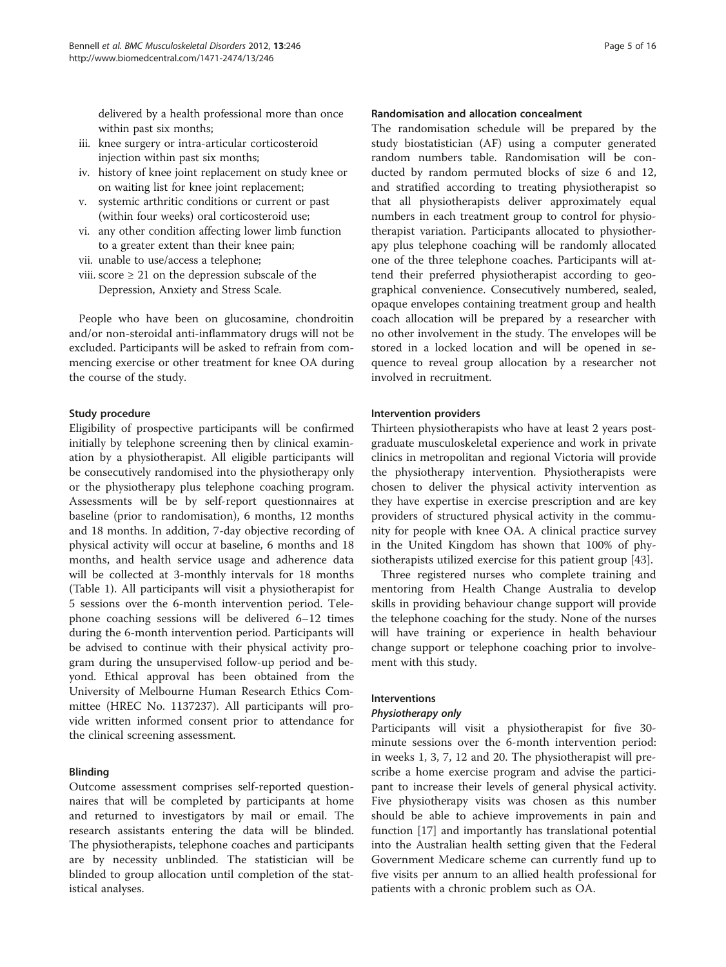delivered by a health professional more than once within past six months;

- iii. knee surgery or intra-articular corticosteroid injection within past six months;
- iv. history of knee joint replacement on study knee or on waiting list for knee joint replacement;
- v. systemic arthritic conditions or current or past (within four weeks) oral corticosteroid use;
- vi. any other condition affecting lower limb function to a greater extent than their knee pain;
- vii. unable to use/access a telephone;
- viii. score  $\geq 21$  on the depression subscale of the Depression, Anxiety and Stress Scale.

People who have been on glucosamine, chondroitin and/or non-steroidal anti-inflammatory drugs will not be excluded. Participants will be asked to refrain from commencing exercise or other treatment for knee OA during the course of the study.

#### Study procedure

Eligibility of prospective participants will be confirmed initially by telephone screening then by clinical examination by a physiotherapist. All eligible participants will be consecutively randomised into the physiotherapy only or the physiotherapy plus telephone coaching program. Assessments will be by self-report questionnaires at baseline (prior to randomisation), 6 months, 12 months and 18 months. In addition, 7-day objective recording of physical activity will occur at baseline, 6 months and 18 months, and health service usage and adherence data will be collected at 3-monthly intervals for 18 months (Table [1\)](#page-5-0). All participants will visit a physiotherapist for 5 sessions over the 6-month intervention period. Telephone coaching sessions will be delivered 6–12 times during the 6-month intervention period. Participants will be advised to continue with their physical activity program during the unsupervised follow-up period and beyond. Ethical approval has been obtained from the University of Melbourne Human Research Ethics Committee (HREC No. 1137237). All participants will provide written informed consent prior to attendance for the clinical screening assessment.

#### Blinding

Outcome assessment comprises self-reported questionnaires that will be completed by participants at home and returned to investigators by mail or email. The research assistants entering the data will be blinded. The physiotherapists, telephone coaches and participants are by necessity unblinded. The statistician will be blinded to group allocation until completion of the statistical analyses.

#### Randomisation and allocation concealment

The randomisation schedule will be prepared by the study biostatistician (AF) using a computer generated random numbers table. Randomisation will be conducted by random permuted blocks of size 6 and 12, and stratified according to treating physiotherapist so that all physiotherapists deliver approximately equal numbers in each treatment group to control for physiotherapist variation. Participants allocated to physiotherapy plus telephone coaching will be randomly allocated one of the three telephone coaches. Participants will attend their preferred physiotherapist according to geographical convenience. Consecutively numbered, sealed, opaque envelopes containing treatment group and health coach allocation will be prepared by a researcher with no other involvement in the study. The envelopes will be stored in a locked location and will be opened in sequence to reveal group allocation by a researcher not involved in recruitment.

#### Intervention providers

Thirteen physiotherapists who have at least 2 years postgraduate musculoskeletal experience and work in private clinics in metropolitan and regional Victoria will provide the physiotherapy intervention. Physiotherapists were chosen to deliver the physical activity intervention as they have expertise in exercise prescription and are key providers of structured physical activity in the community for people with knee OA. A clinical practice survey in the United Kingdom has shown that 100% of physiotherapists utilized exercise for this patient group [[43\]](#page-14-0).

Three registered nurses who complete training and mentoring from Health Change Australia to develop skills in providing behaviour change support will provide the telephone coaching for the study. None of the nurses will have training or experience in health behaviour change support or telephone coaching prior to involvement with this study.

#### Interventions

#### Physiotherapy only

Participants will visit a physiotherapist for five 30 minute sessions over the 6-month intervention period: in weeks 1, 3, 7, 12 and 20. The physiotherapist will prescribe a home exercise program and advise the participant to increase their levels of general physical activity. Five physiotherapy visits was chosen as this number should be able to achieve improvements in pain and function [[17](#page-14-0)] and importantly has translational potential into the Australian health setting given that the Federal Government Medicare scheme can currently fund up to five visits per annum to an allied health professional for patients with a chronic problem such as OA.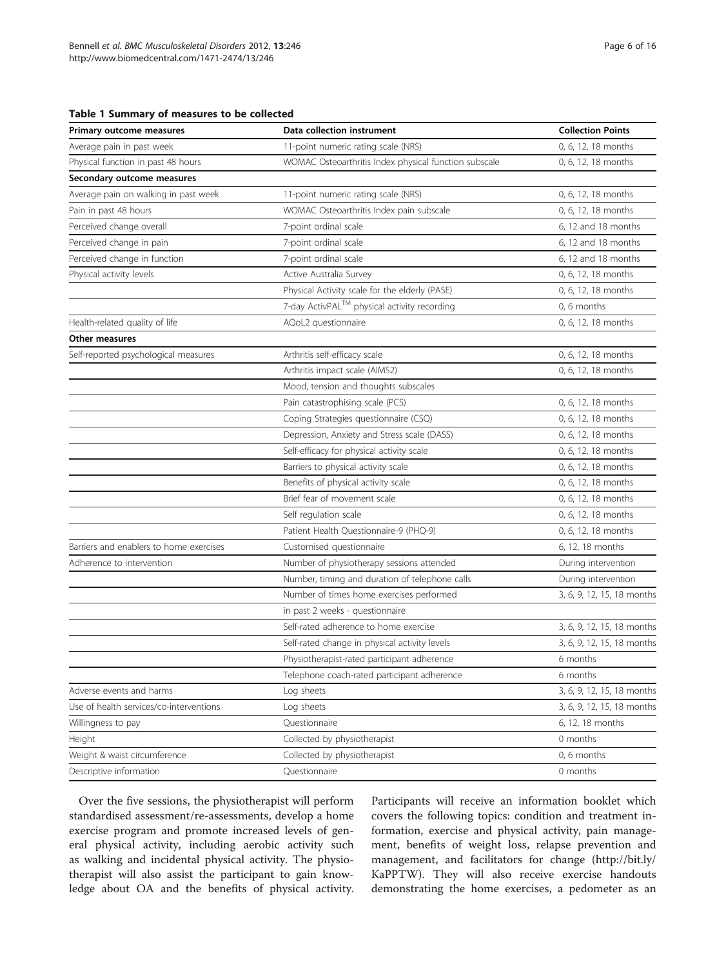#### <span id="page-5-0"></span>Table 1 Summary of measures to be collected

| Primary outcome measures                | Data collection instrument                            | <b>Collection Points</b>   |
|-----------------------------------------|-------------------------------------------------------|----------------------------|
| Average pain in past week               | 11-point numeric rating scale (NRS)                   | 0, 6, 12, 18 months        |
| Physical function in past 48 hours      | WOMAC Osteoarthritis Index physical function subscale | 0, 6, 12, 18 months        |
| Secondary outcome measures              |                                                       |                            |
| Average pain on walking in past week    | 11-point numeric rating scale (NRS)                   | 0, 6, 12, 18 months        |
| Pain in past 48 hours                   | WOMAC Osteoarthritis Index pain subscale              | 0, 6, 12, 18 months        |
| Perceived change overall                | 7-point ordinal scale                                 | 6, 12 and 18 months        |
| Perceived change in pain                | 7-point ordinal scale                                 | 6, 12 and 18 months        |
| Perceived change in function            | 7-point ordinal scale                                 | 6, 12 and 18 months        |
| Physical activity levels                | Active Australia Survey                               | 0, 6, 12, 18 months        |
|                                         | Physical Activity scale for the elderly (PASE)        | 0, 6, 12, 18 months        |
|                                         | 7-day ActivPAL™ physical activity recording           | 0, 6 months                |
| Health-related quality of life          | AQoL2 questionnaire                                   | 0, 6, 12, 18 months        |
| Other measures                          |                                                       |                            |
| Self-reported psychological measures    | Arthritis self-efficacy scale                         | 0, 6, 12, 18 months        |
|                                         | Arthritis impact scale (AIMS2)                        | 0, 6, 12, 18 months        |
|                                         | Mood, tension and thoughts subscales                  |                            |
|                                         | Pain catastrophising scale (PCS)                      | 0, 6, 12, 18 months        |
|                                         | Coping Strategies questionnaire (CSQ)                 | 0, 6, 12, 18 months        |
|                                         | Depression, Anxiety and Stress scale (DASS)           | 0, 6, 12, 18 months        |
|                                         | Self-efficacy for physical activity scale             | 0, 6, 12, 18 months        |
|                                         | Barriers to physical activity scale                   | 0, 6, 12, 18 months        |
|                                         | Benefits of physical activity scale                   | 0, 6, 12, 18 months        |
|                                         | Brief fear of movement scale                          | 0, 6, 12, 18 months        |
|                                         | Self regulation scale                                 | 0, 6, 12, 18 months        |
|                                         | Patient Health Questionnaire-9 (PHQ-9)                | 0, 6, 12, 18 months        |
| Barriers and enablers to home exercises | Customised questionnaire                              | 6, 12, 18 months           |
| Adherence to intervention               | Number of physiotherapy sessions attended             | During intervention        |
|                                         | Number, timing and duration of telephone calls        | During intervention        |
|                                         | Number of times home exercises performed              | 3, 6, 9, 12, 15, 18 months |
|                                         | in past 2 weeks - questionnaire                       |                            |
|                                         | Self-rated adherence to home exercise                 | 3, 6, 9, 12, 15, 18 months |
|                                         | Self-rated change in physical activity levels         | 3, 6, 9, 12, 15, 18 months |
|                                         | Physiotherapist-rated participant adherence           | 6 months                   |
|                                         | Telephone coach-rated participant adherence           | 6 months                   |
| Adverse events and harms                | Log sheets                                            | 3, 6, 9, 12, 15, 18 months |
| Use of health services/co-interventions | Log sheets                                            | 3, 6, 9, 12, 15, 18 months |
| Willingness to pay                      | Questionnaire                                         | 6, 12, 18 months           |
| Height                                  | Collected by physiotherapist                          | 0 months                   |
| Weight & waist circumference            | Collected by physiotherapist                          | 0, 6 months                |
| Descriptive information                 | Questionnaire                                         | 0 months                   |

Over the five sessions, the physiotherapist will perform standardised assessment/re-assessments, develop a home exercise program and promote increased levels of general physical activity, including aerobic activity such as walking and incidental physical activity. The physiotherapist will also assist the participant to gain knowledge about OA and the benefits of physical activity. Participants will receive an information booklet which covers the following topics: condition and treatment information, exercise and physical activity, pain management, benefits of weight loss, relapse prevention and management, and facilitators for change ([http://bit.ly/](http://bit.ly/KaPPTW) [KaPPTW](http://bit.ly/KaPPTW)). They will also receive exercise handouts demonstrating the home exercises, a pedometer as an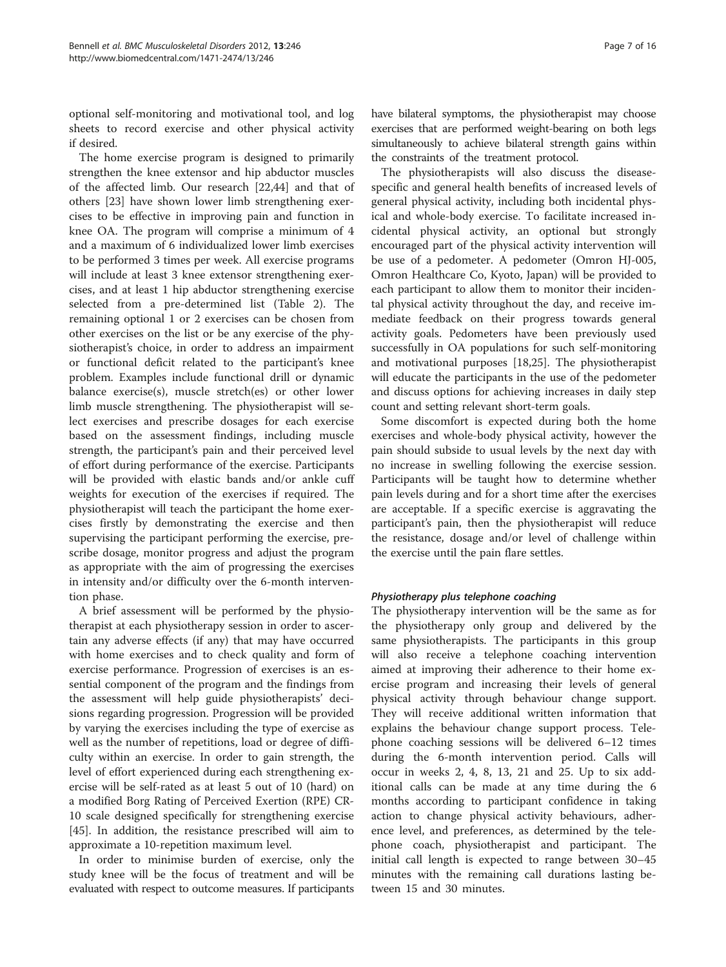optional self-monitoring and motivational tool, and log sheets to record exercise and other physical activity if desired.

The home exercise program is designed to primarily strengthen the knee extensor and hip abductor muscles of the affected limb. Our research [\[22,44](#page-14-0)] and that of others [[23](#page-14-0)] have shown lower limb strengthening exercises to be effective in improving pain and function in knee OA. The program will comprise a minimum of 4 and a maximum of 6 individualized lower limb exercises to be performed 3 times per week. All exercise programs will include at least 3 knee extensor strengthening exercises, and at least 1 hip abductor strengthening exercise selected from a pre-determined list (Table [2\)](#page-7-0). The remaining optional 1 or 2 exercises can be chosen from other exercises on the list or be any exercise of the physiotherapist's choice, in order to address an impairment or functional deficit related to the participant's knee problem. Examples include functional drill or dynamic balance exercise(s), muscle stretch(es) or other lower limb muscle strengthening. The physiotherapist will select exercises and prescribe dosages for each exercise based on the assessment findings, including muscle strength, the participant's pain and their perceived level of effort during performance of the exercise. Participants will be provided with elastic bands and/or ankle cuff weights for execution of the exercises if required. The physiotherapist will teach the participant the home exercises firstly by demonstrating the exercise and then supervising the participant performing the exercise, prescribe dosage, monitor progress and adjust the program as appropriate with the aim of progressing the exercises in intensity and/or difficulty over the 6-month intervention phase.

A brief assessment will be performed by the physiotherapist at each physiotherapy session in order to ascertain any adverse effects (if any) that may have occurred with home exercises and to check quality and form of exercise performance. Progression of exercises is an essential component of the program and the findings from the assessment will help guide physiotherapists' decisions regarding progression. Progression will be provided by varying the exercises including the type of exercise as well as the number of repetitions, load or degree of difficulty within an exercise. In order to gain strength, the level of effort experienced during each strengthening exercise will be self-rated as at least 5 out of 10 (hard) on a modified Borg Rating of Perceived Exertion (RPE) CR-10 scale designed specifically for strengthening exercise [[45\]](#page-14-0). In addition, the resistance prescribed will aim to approximate a 10-repetition maximum level.

In order to minimise burden of exercise, only the study knee will be the focus of treatment and will be evaluated with respect to outcome measures. If participants have bilateral symptoms, the physiotherapist may choose exercises that are performed weight-bearing on both legs simultaneously to achieve bilateral strength gains within the constraints of the treatment protocol.

The physiotherapists will also discuss the diseasespecific and general health benefits of increased levels of general physical activity, including both incidental physical and whole-body exercise. To facilitate increased incidental physical activity, an optional but strongly encouraged part of the physical activity intervention will be use of a pedometer. A pedometer (Omron HJ-005, Omron Healthcare Co, Kyoto, Japan) will be provided to each participant to allow them to monitor their incidental physical activity throughout the day, and receive immediate feedback on their progress towards general activity goals. Pedometers have been previously used successfully in OA populations for such self-monitoring and motivational purposes [\[18,25\]](#page-14-0). The physiotherapist will educate the participants in the use of the pedometer and discuss options for achieving increases in daily step count and setting relevant short-term goals.

Some discomfort is expected during both the home exercises and whole-body physical activity, however the pain should subside to usual levels by the next day with no increase in swelling following the exercise session. Participants will be taught how to determine whether pain levels during and for a short time after the exercises are acceptable. If a specific exercise is aggravating the participant's pain, then the physiotherapist will reduce the resistance, dosage and/or level of challenge within the exercise until the pain flare settles.

#### Physiotherapy plus telephone coaching

The physiotherapy intervention will be the same as for the physiotherapy only group and delivered by the same physiotherapists. The participants in this group will also receive a telephone coaching intervention aimed at improving their adherence to their home exercise program and increasing their levels of general physical activity through behaviour change support. They will receive additional written information that explains the behaviour change support process. Telephone coaching sessions will be delivered 6–12 times during the 6-month intervention period. Calls will occur in weeks 2, 4, 8, 13, 21 and 25. Up to six additional calls can be made at any time during the 6 months according to participant confidence in taking action to change physical activity behaviours, adherence level, and preferences, as determined by the telephone coach, physiotherapist and participant. The initial call length is expected to range between 30–45 minutes with the remaining call durations lasting between 15 and 30 minutes.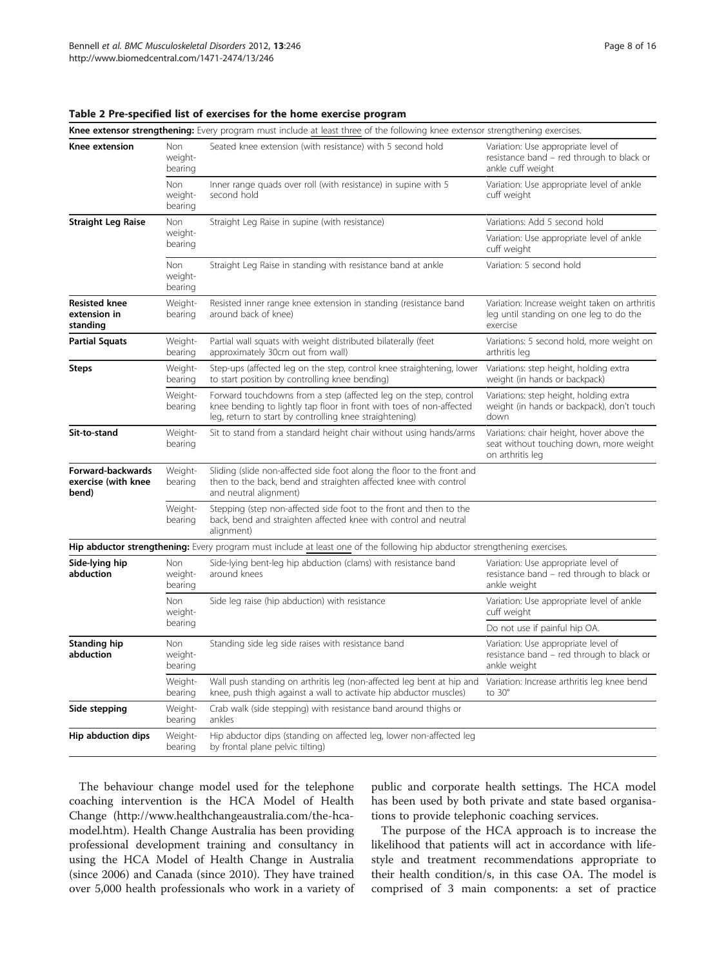#### <span id="page-7-0"></span>Table 2 Pre-specified list of exercises for the home exercise program

| Knee extensor strengthening: Every program must include at least three of the following knee extensor strengthening exercises. |                                  |                                                                                                                                                                                                      |                                                                                                          |  |
|--------------------------------------------------------------------------------------------------------------------------------|----------------------------------|------------------------------------------------------------------------------------------------------------------------------------------------------------------------------------------------------|----------------------------------------------------------------------------------------------------------|--|
| Knee extension                                                                                                                 | Non<br>weight-<br>bearing        | Seated knee extension (with resistance) with 5 second hold                                                                                                                                           | Variation: Use appropriate level of<br>resistance band - red through to black or<br>ankle cuff weight    |  |
|                                                                                                                                | Non<br>weight-<br>bearing        | Inner range quads over roll (with resistance) in supine with 5<br>second hold                                                                                                                        | Variation: Use appropriate level of ankle<br>cuff weight                                                 |  |
| <b>Straight Leg Raise</b>                                                                                                      | Non                              | Straight Leg Raise in supine (with resistance)                                                                                                                                                       | Variations: Add 5 second hold                                                                            |  |
|                                                                                                                                | weight-<br>bearing               |                                                                                                                                                                                                      | Variation: Use appropriate level of ankle<br>cuff weight                                                 |  |
|                                                                                                                                | Non<br>weight-<br>bearing        | Straight Leg Raise in standing with resistance band at ankle                                                                                                                                         | Variation: 5 second hold                                                                                 |  |
| <b>Resisted knee</b><br>extension in<br>standing                                                                               | Weight-<br>bearing               | Resisted inner range knee extension in standing (resistance band<br>around back of knee)                                                                                                             | Variation: Increase weight taken on arthritis<br>leg until standing on one leg to do the<br>exercise     |  |
| <b>Partial Squats</b>                                                                                                          | Weight-<br>bearing               | Partial wall squats with weight distributed bilaterally (feet<br>approximately 30cm out from wall)                                                                                                   | Variations: 5 second hold, more weight on<br>arthritis leg                                               |  |
| <b>Steps</b>                                                                                                                   | Weight-<br>bearing               | Step-ups (affected leg on the step, control knee straightening, lower<br>to start position by controlling knee bending)                                                                              | Variations: step height, holding extra<br>weight (in hands or backpack)                                  |  |
|                                                                                                                                | Weight-<br>bearing               | Forward touchdowns from a step (affected leg on the step, control<br>knee bending to lightly tap floor in front with toes of non-affected<br>leg, return to start by controlling knee straightening) | Variations: step height, holding extra<br>weight (in hands or backpack), don't touch<br>down             |  |
| Sit-to-stand                                                                                                                   | Weight-<br>bearing               | Sit to stand from a standard height chair without using hands/arms                                                                                                                                   | Variations: chair height, hover above the<br>seat without touching down, more weight<br>on arthritis leg |  |
| Forward-backwards<br>exercise (with knee<br>bend)                                                                              | Weight-<br>bearing               | Sliding (slide non-affected side foot along the floor to the front and<br>then to the back, bend and straighten affected knee with control<br>and neutral alignment)                                 |                                                                                                          |  |
|                                                                                                                                | Weight-<br>bearing               | Stepping (step non-affected side foot to the front and then to the<br>back, bend and straighten affected knee with control and neutral<br>alignment)                                                 |                                                                                                          |  |
|                                                                                                                                |                                  | Hip abductor strengthening: Every program must include at least one of the following hip abductor strengthening exercises.                                                                           |                                                                                                          |  |
| Side-lying hip<br>abduction                                                                                                    | Non<br>weight-<br>bearing        | Side-lying bent-leg hip abduction (clams) with resistance band<br>around knees                                                                                                                       | Variation: Use appropriate level of<br>resistance band - red through to black or<br>ankle weight         |  |
|                                                                                                                                | <b>Non</b><br>weight-<br>bearing | Side leg raise (hip abduction) with resistance                                                                                                                                                       | Variation: Use appropriate level of ankle<br>cuff weight                                                 |  |
|                                                                                                                                |                                  |                                                                                                                                                                                                      | Do not use if painful hip OA.                                                                            |  |
| Standing hip<br>abduction                                                                                                      | Non<br>weight-<br>bearing        | Standing side leg side raises with resistance band                                                                                                                                                   | Variation: Use appropriate level of<br>resistance band - red through to black or<br>ankle weight         |  |
|                                                                                                                                | Weight-<br>bearing               | Wall push standing on arthritis leg (non-affected leg bent at hip and<br>knee, push thigh against a wall to activate hip abductor muscles)                                                           | Variation: Increase arthritis leg knee bend<br>to $30^\circ$                                             |  |
| Side stepping                                                                                                                  | Weight-<br>bearing               | Crab walk (side stepping) with resistance band around thighs or<br>ankles                                                                                                                            |                                                                                                          |  |
| Hip abduction dips                                                                                                             | Weight-<br>bearing               | Hip abductor dips (standing on affected leg, lower non-affected leg<br>by frontal plane pelvic tilting)                                                                                              |                                                                                                          |  |

The behaviour change model used for the telephone coaching intervention is the HCA Model of Health Change [\(http://www.healthchangeaustralia.com/the-hca](http://www.healthchangeaustralia.com/the-hca-model.htm)[model.htm\)](http://www.healthchangeaustralia.com/the-hca-model.htm). Health Change Australia has been providing professional development training and consultancy in using the HCA Model of Health Change in Australia (since 2006) and Canada (since 2010). They have trained over 5,000 health professionals who work in a variety of public and corporate health settings. The HCA model has been used by both private and state based organisations to provide telephonic coaching services.

The purpose of the HCA approach is to increase the likelihood that patients will act in accordance with lifestyle and treatment recommendations appropriate to their health condition/s, in this case OA. The model is comprised of 3 main components: a set of practice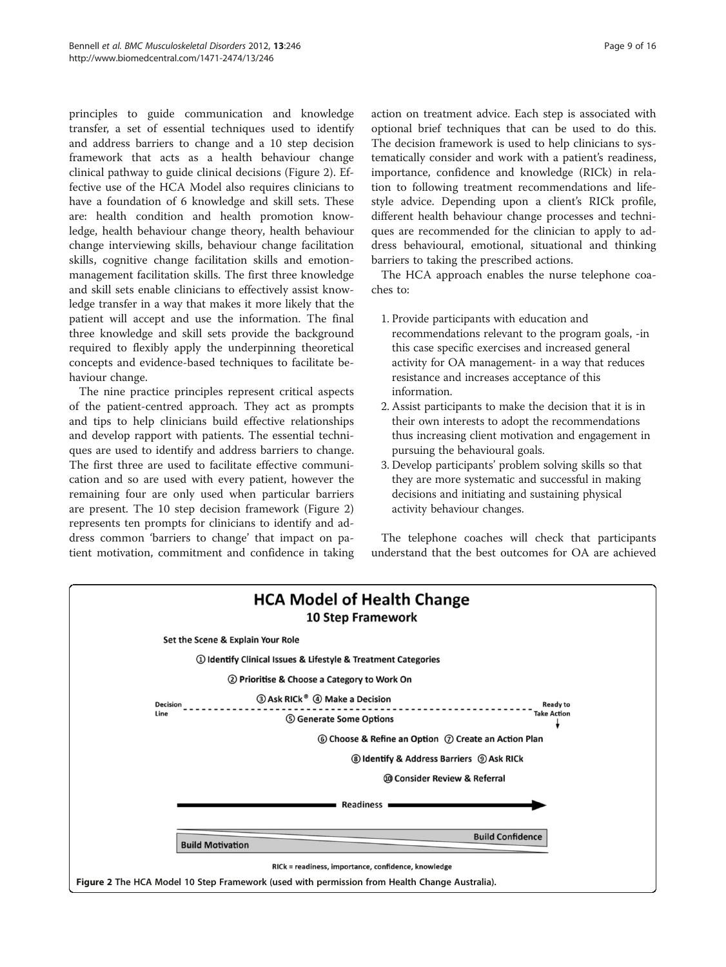principles to guide communication and knowledge transfer, a set of essential techniques used to identify and address barriers to change and a 10 step decision framework that acts as a health behaviour change clinical pathway to guide clinical decisions (Figure 2). Effective use of the HCA Model also requires clinicians to have a foundation of 6 knowledge and skill sets. These are: health condition and health promotion knowledge, health behaviour change theory, health behaviour change interviewing skills, behaviour change facilitation skills, cognitive change facilitation skills and emotionmanagement facilitation skills. The first three knowledge and skill sets enable clinicians to effectively assist knowledge transfer in a way that makes it more likely that the patient will accept and use the information. The final three knowledge and skill sets provide the background required to flexibly apply the underpinning theoretical concepts and evidence-based techniques to facilitate behaviour change.

The nine practice principles represent critical aspects of the patient-centred approach. They act as prompts and tips to help clinicians build effective relationships and develop rapport with patients. The essential techniques are used to identify and address barriers to change. The first three are used to facilitate effective communication and so are used with every patient, however the remaining four are only used when particular barriers are present. The 10 step decision framework (Figure 2) represents ten prompts for clinicians to identify and address common 'barriers to change' that impact on patient motivation, commitment and confidence in taking action on treatment advice. Each step is associated with optional brief techniques that can be used to do this. The decision framework is used to help clinicians to systematically consider and work with a patient's readiness, importance, confidence and knowledge (RICk) in relation to following treatment recommendations and lifestyle advice. Depending upon a client's RICk profile, different health behaviour change processes and techniques are recommended for the clinician to apply to address behavioural, emotional, situational and thinking barriers to taking the prescribed actions.

The HCA approach enables the nurse telephone coaches to:

- 1. Provide participants with education and recommendations relevant to the program goals, -in this case specific exercises and increased general activity for OA management- in a way that reduces resistance and increases acceptance of this information.
- 2. Assist participants to make the decision that it is in their own interests to adopt the recommendations thus increasing client motivation and engagement in pursuing the behavioural goals.
- 3. Develop participants' problem solving skills so that they are more systematic and successful in making decisions and initiating and sustaining physical activity behaviour changes.

The telephone coaches will check that participants understand that the best outcomes for OA are achieved

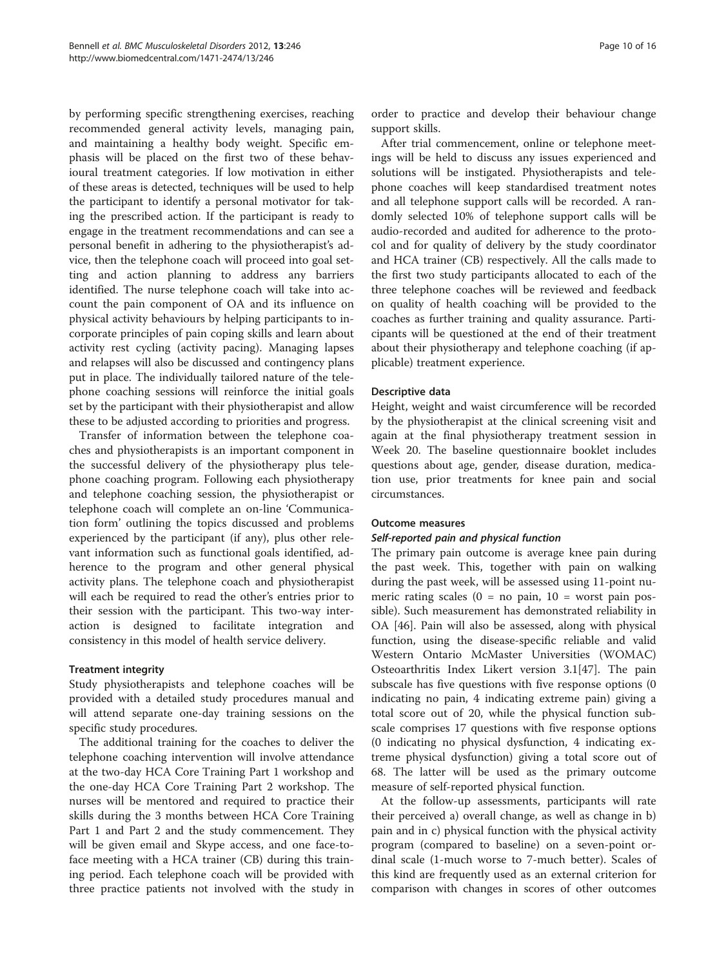by performing specific strengthening exercises, reaching recommended general activity levels, managing pain, and maintaining a healthy body weight. Specific emphasis will be placed on the first two of these behavioural treatment categories. If low motivation in either of these areas is detected, techniques will be used to help the participant to identify a personal motivator for taking the prescribed action. If the participant is ready to engage in the treatment recommendations and can see a personal benefit in adhering to the physiotherapist's advice, then the telephone coach will proceed into goal setting and action planning to address any barriers identified. The nurse telephone coach will take into account the pain component of OA and its influence on physical activity behaviours by helping participants to incorporate principles of pain coping skills and learn about activity rest cycling (activity pacing). Managing lapses and relapses will also be discussed and contingency plans put in place. The individually tailored nature of the telephone coaching sessions will reinforce the initial goals set by the participant with their physiotherapist and allow these to be adjusted according to priorities and progress.

Transfer of information between the telephone coaches and physiotherapists is an important component in the successful delivery of the physiotherapy plus telephone coaching program. Following each physiotherapy and telephone coaching session, the physiotherapist or telephone coach will complete an on-line 'Communication form' outlining the topics discussed and problems experienced by the participant (if any), plus other relevant information such as functional goals identified, adherence to the program and other general physical activity plans. The telephone coach and physiotherapist will each be required to read the other's entries prior to their session with the participant. This two-way interaction is designed to facilitate integration and consistency in this model of health service delivery.

#### Treatment integrity

Study physiotherapists and telephone coaches will be provided with a detailed study procedures manual and will attend separate one-day training sessions on the specific study procedures.

The additional training for the coaches to deliver the telephone coaching intervention will involve attendance at the two-day HCA Core Training Part 1 workshop and the one-day HCA Core Training Part 2 workshop. The nurses will be mentored and required to practice their skills during the 3 months between HCA Core Training Part 1 and Part 2 and the study commencement. They will be given email and Skype access, and one face-toface meeting with a HCA trainer (CB) during this training period. Each telephone coach will be provided with three practice patients not involved with the study in

order to practice and develop their behaviour change support skills.

After trial commencement, online or telephone meetings will be held to discuss any issues experienced and solutions will be instigated. Physiotherapists and telephone coaches will keep standardised treatment notes and all telephone support calls will be recorded. A randomly selected 10% of telephone support calls will be audio-recorded and audited for adherence to the protocol and for quality of delivery by the study coordinator and HCA trainer (CB) respectively. All the calls made to the first two study participants allocated to each of the three telephone coaches will be reviewed and feedback on quality of health coaching will be provided to the coaches as further training and quality assurance. Participants will be questioned at the end of their treatment about their physiotherapy and telephone coaching (if applicable) treatment experience.

#### Descriptive data

Height, weight and waist circumference will be recorded by the physiotherapist at the clinical screening visit and again at the final physiotherapy treatment session in Week 20. The baseline questionnaire booklet includes questions about age, gender, disease duration, medication use, prior treatments for knee pain and social circumstances.

#### Outcome measures

#### Self-reported pain and physical function

The primary pain outcome is average knee pain during the past week. This, together with pain on walking during the past week, will be assessed using 11-point numeric rating scales  $(0 = no \, pain, 10 = worst \, pain \, pos$ sible). Such measurement has demonstrated reliability in OA [\[46](#page-14-0)]. Pain will also be assessed, along with physical function, using the disease-specific reliable and valid Western Ontario McMaster Universities (WOMAC) Osteoarthritis Index Likert version 3.1[[47](#page-15-0)]. The pain subscale has five questions with five response options (0 indicating no pain, 4 indicating extreme pain) giving a total score out of 20, while the physical function subscale comprises 17 questions with five response options (0 indicating no physical dysfunction, 4 indicating extreme physical dysfunction) giving a total score out of 68. The latter will be used as the primary outcome measure of self-reported physical function.

At the follow-up assessments, participants will rate their perceived a) overall change, as well as change in b) pain and in c) physical function with the physical activity program (compared to baseline) on a seven-point ordinal scale (1-much worse to 7-much better). Scales of this kind are frequently used as an external criterion for comparison with changes in scores of other outcomes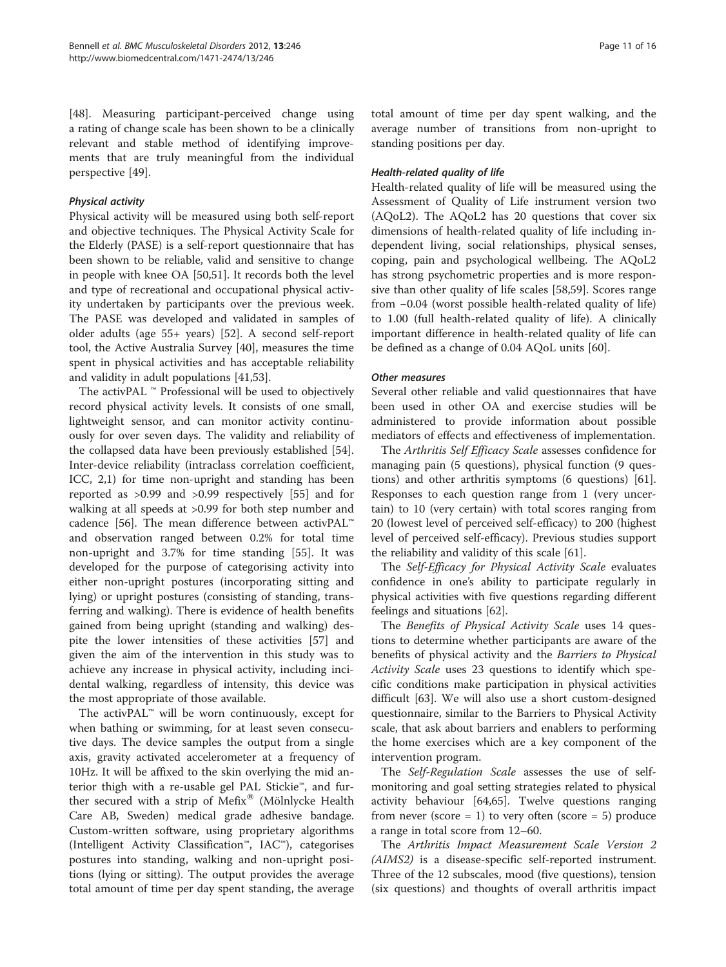[[48\]](#page-15-0). Measuring participant-perceived change using a rating of change scale has been shown to be a clinically relevant and stable method of identifying improvements that are truly meaningful from the individual perspective [[49](#page-15-0)].

#### Physical activity

Physical activity will be measured using both self-report and objective techniques. The Physical Activity Scale for the Elderly (PASE) is a self-report questionnaire that has been shown to be reliable, valid and sensitive to change in people with knee OA [\[50,51](#page-15-0)]. It records both the level and type of recreational and occupational physical activity undertaken by participants over the previous week. The PASE was developed and validated in samples of older adults (age 55+ years) [[52\]](#page-15-0). A second self-report tool, the Active Australia Survey [[40\]](#page-14-0), measures the time spent in physical activities and has acceptable reliability and validity in adult populations [\[41](#page-14-0)[,53](#page-15-0)].

The activPAL ™ Professional will be used to objectively record physical activity levels. It consists of one small, lightweight sensor, and can monitor activity continuously for over seven days. The validity and reliability of the collapsed data have been previously established [\[54](#page-15-0)]. Inter-device reliability (intraclass correlation coefficient, ICC, 2,1) for time non-upright and standing has been reported as >0.99 and >0.99 respectively [[55](#page-15-0)] and for walking at all speeds at >0.99 for both step number and cadence [\[56](#page-15-0)]. The mean difference between activPAL™ and observation ranged between 0.2% for total time non-upright and 3.7% for time standing [\[55](#page-15-0)]. It was developed for the purpose of categorising activity into either non-upright postures (incorporating sitting and lying) or upright postures (consisting of standing, transferring and walking). There is evidence of health benefits gained from being upright (standing and walking) despite the lower intensities of these activities [[57\]](#page-15-0) and given the aim of the intervention in this study was to achieve any increase in physical activity, including incidental walking, regardless of intensity, this device was the most appropriate of those available.

The activPAL™ will be worn continuously, except for when bathing or swimming, for at least seven consecutive days. The device samples the output from a single axis, gravity activated accelerometer at a frequency of 10Hz. It will be affixed to the skin overlying the mid anterior thigh with a re-usable gel PAL Stickie™, and further secured with a strip of Mefix<sup>®</sup> (Mölnlycke Health Care AB, Sweden) medical grade adhesive bandage. Custom-written software, using proprietary algorithms (Intelligent Activity Classification™, IAC™), categorises postures into standing, walking and non-upright positions (lying or sitting). The output provides the average total amount of time per day spent standing, the average

total amount of time per day spent walking, and the average number of transitions from non-upright to standing positions per day.

#### Health-related quality of life

Health-related quality of life will be measured using the Assessment of Quality of Life instrument version two (AQoL2). The AQoL2 has 20 questions that cover six dimensions of health-related quality of life including independent living, social relationships, physical senses, coping, pain and psychological wellbeing. The AQoL2 has strong psychometric properties and is more responsive than other quality of life scales [\[58,59\]](#page-15-0). Scores range from −0.04 (worst possible health-related quality of life) to 1.00 (full health-related quality of life). A clinically important difference in health-related quality of life can be defined as a change of 0.04 AQoL units [[60](#page-15-0)].

#### Other measures

Several other reliable and valid questionnaires that have been used in other OA and exercise studies will be administered to provide information about possible mediators of effects and effectiveness of implementation.

The Arthritis Self Efficacy Scale assesses confidence for managing pain (5 questions), physical function (9 questions) and other arthritis symptoms (6 questions) [\[61](#page-15-0)]. Responses to each question range from 1 (very uncertain) to 10 (very certain) with total scores ranging from 20 (lowest level of perceived self-efficacy) to 200 (highest level of perceived self-efficacy). Previous studies support the reliability and validity of this scale [[61\]](#page-15-0).

The Self-Efficacy for Physical Activity Scale evaluates confidence in one's ability to participate regularly in physical activities with five questions regarding different feelings and situations [[62\]](#page-15-0).

The Benefits of Physical Activity Scale uses 14 questions to determine whether participants are aware of the benefits of physical activity and the Barriers to Physical Activity Scale uses 23 questions to identify which specific conditions make participation in physical activities difficult [\[63](#page-15-0)]. We will also use a short custom-designed questionnaire, similar to the Barriers to Physical Activity scale, that ask about barriers and enablers to performing the home exercises which are a key component of the intervention program.

The Self-Regulation Scale assesses the use of selfmonitoring and goal setting strategies related to physical activity behaviour [\[64,65](#page-15-0)]. Twelve questions ranging from never (score  $= 1$ ) to very often (score  $= 5$ ) produce a range in total score from 12–60.

The Arthritis Impact Measurement Scale Version 2 (AIMS2) is a disease-specific self-reported instrument. Three of the 12 subscales, mood (five questions), tension (six questions) and thoughts of overall arthritis impact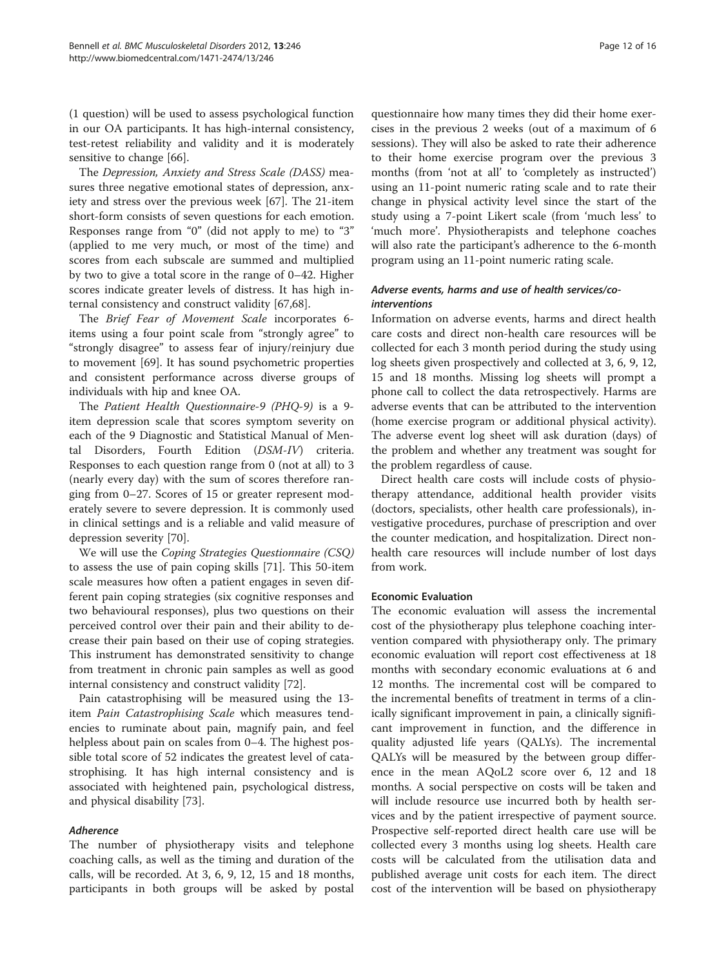(1 question) will be used to assess psychological function in our OA participants. It has high-internal consistency, test-retest reliability and validity and it is moderately sensitive to change [\[66\]](#page-15-0).

The Depression, Anxiety and Stress Scale (DASS) measures three negative emotional states of depression, anxiety and stress over the previous week [[67\]](#page-15-0). The 21-item short-form consists of seven questions for each emotion. Responses range from "0" (did not apply to me) to "3" (applied to me very much, or most of the time) and scores from each subscale are summed and multiplied by two to give a total score in the range of 0–42. Higher scores indicate greater levels of distress. It has high internal consistency and construct validity [[67,68\]](#page-15-0).

The Brief Fear of Movement Scale incorporates 6 items using a four point scale from "strongly agree" to "strongly disagree" to assess fear of injury/reinjury due to movement [\[69\]](#page-15-0). It has sound psychometric properties and consistent performance across diverse groups of individuals with hip and knee OA.

The Patient Health Questionnaire-9 (PHQ-9) is a 9 item depression scale that scores symptom severity on each of the 9 Diagnostic and Statistical Manual of Mental Disorders, Fourth Edition (DSM-IV) criteria. Responses to each question range from 0 (not at all) to 3 (nearly every day) with the sum of scores therefore ranging from 0–27. Scores of 15 or greater represent moderately severe to severe depression. It is commonly used in clinical settings and is a reliable and valid measure of depression severity [\[70](#page-15-0)].

We will use the Coping Strategies Questionnaire (CSQ) to assess the use of pain coping skills [[71\]](#page-15-0). This 50-item scale measures how often a patient engages in seven different pain coping strategies (six cognitive responses and two behavioural responses), plus two questions on their perceived control over their pain and their ability to decrease their pain based on their use of coping strategies. This instrument has demonstrated sensitivity to change from treatment in chronic pain samples as well as good internal consistency and construct validity [[72\]](#page-15-0).

Pain catastrophising will be measured using the 13 item Pain Catastrophising Scale which measures tendencies to ruminate about pain, magnify pain, and feel helpless about pain on scales from 0–4. The highest possible total score of 52 indicates the greatest level of catastrophising. It has high internal consistency and is associated with heightened pain, psychological distress, and physical disability [[73](#page-15-0)].

#### Adherence

The number of physiotherapy visits and telephone coaching calls, as well as the timing and duration of the calls, will be recorded. At 3, 6, 9, 12, 15 and 18 months, participants in both groups will be asked by postal questionnaire how many times they did their home exercises in the previous 2 weeks (out of a maximum of 6 sessions). They will also be asked to rate their adherence to their home exercise program over the previous 3 months (from 'not at all' to 'completely as instructed') using an 11-point numeric rating scale and to rate their change in physical activity level since the start of the study using a 7-point Likert scale (from 'much less' to 'much more'. Physiotherapists and telephone coaches will also rate the participant's adherence to the 6-month program using an 11-point numeric rating scale.

#### Adverse events, harms and use of health services/cointerventions

Information on adverse events, harms and direct health care costs and direct non-health care resources will be collected for each 3 month period during the study using log sheets given prospectively and collected at 3, 6, 9, 12, 15 and 18 months. Missing log sheets will prompt a phone call to collect the data retrospectively. Harms are adverse events that can be attributed to the intervention (home exercise program or additional physical activity). The adverse event log sheet will ask duration (days) of the problem and whether any treatment was sought for the problem regardless of cause.

Direct health care costs will include costs of physiotherapy attendance, additional health provider visits (doctors, specialists, other health care professionals), investigative procedures, purchase of prescription and over the counter medication, and hospitalization. Direct nonhealth care resources will include number of lost days from work.

#### Economic Evaluation

The economic evaluation will assess the incremental cost of the physiotherapy plus telephone coaching intervention compared with physiotherapy only. The primary economic evaluation will report cost effectiveness at 18 months with secondary economic evaluations at 6 and 12 months. The incremental cost will be compared to the incremental benefits of treatment in terms of a clinically significant improvement in pain, a clinically significant improvement in function, and the difference in quality adjusted life years (QALYs). The incremental QALYs will be measured by the between group difference in the mean AQoL2 score over 6, 12 and 18 months. A social perspective on costs will be taken and will include resource use incurred both by health services and by the patient irrespective of payment source. Prospective self-reported direct health care use will be collected every 3 months using log sheets. Health care costs will be calculated from the utilisation data and published average unit costs for each item. The direct cost of the intervention will be based on physiotherapy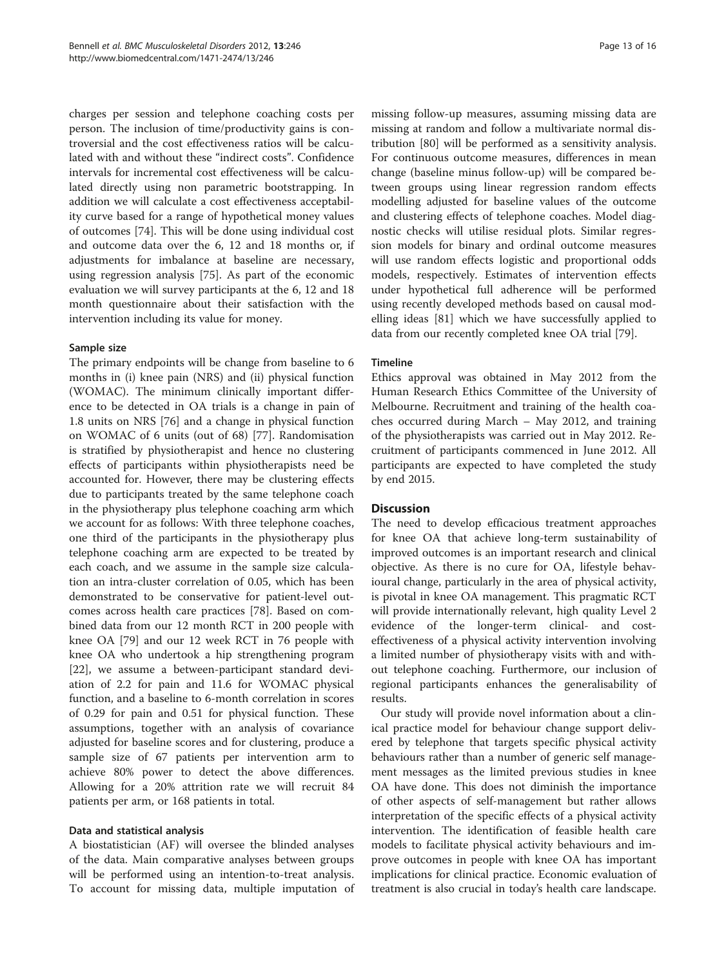charges per session and telephone coaching costs per person. The inclusion of time/productivity gains is controversial and the cost effectiveness ratios will be calculated with and without these "indirect costs". Confidence intervals for incremental cost effectiveness will be calculated directly using non parametric bootstrapping. In addition we will calculate a cost effectiveness acceptability curve based for a range of hypothetical money values of outcomes [\[74](#page-15-0)]. This will be done using individual cost and outcome data over the 6, 12 and 18 months or, if adjustments for imbalance at baseline are necessary, using regression analysis [[75\]](#page-15-0). As part of the economic evaluation we will survey participants at the 6, 12 and 18 month questionnaire about their satisfaction with the intervention including its value for money.

#### Sample size

The primary endpoints will be change from baseline to 6 months in (i) knee pain (NRS) and (ii) physical function (WOMAC). The minimum clinically important difference to be detected in OA trials is a change in pain of 1.8 units on NRS [[76](#page-15-0)] and a change in physical function on WOMAC of 6 units (out of 68) [\[77](#page-15-0)]. Randomisation is stratified by physiotherapist and hence no clustering effects of participants within physiotherapists need be accounted for. However, there may be clustering effects due to participants treated by the same telephone coach in the physiotherapy plus telephone coaching arm which we account for as follows: With three telephone coaches, one third of the participants in the physiotherapy plus telephone coaching arm are expected to be treated by each coach, and we assume in the sample size calculation an intra-cluster correlation of 0.05, which has been demonstrated to be conservative for patient-level outcomes across health care practices [\[78](#page-15-0)]. Based on combined data from our 12 month RCT in 200 people with knee OA [\[79](#page-15-0)] and our 12 week RCT in 76 people with knee OA who undertook a hip strengthening program [[22\]](#page-14-0), we assume a between-participant standard deviation of 2.2 for pain and 11.6 for WOMAC physical function, and a baseline to 6-month correlation in scores of 0.29 for pain and 0.51 for physical function. These assumptions, together with an analysis of covariance adjusted for baseline scores and for clustering, produce a sample size of 67 patients per intervention arm to achieve 80% power to detect the above differences. Allowing for a 20% attrition rate we will recruit 84 patients per arm, or 168 patients in total.

#### Data and statistical analysis

A biostatistician (AF) will oversee the blinded analyses of the data. Main comparative analyses between groups will be performed using an intention-to-treat analysis. To account for missing data, multiple imputation of

missing follow-up measures, assuming missing data are missing at random and follow a multivariate normal distribution [[80](#page-15-0)] will be performed as a sensitivity analysis. For continuous outcome measures, differences in mean change (baseline minus follow-up) will be compared between groups using linear regression random effects modelling adjusted for baseline values of the outcome and clustering effects of telephone coaches. Model diagnostic checks will utilise residual plots. Similar regression models for binary and ordinal outcome measures will use random effects logistic and proportional odds models, respectively. Estimates of intervention effects under hypothetical full adherence will be performed using recently developed methods based on causal modelling ideas [\[81](#page-15-0)] which we have successfully applied to data from our recently completed knee OA trial [[79\]](#page-15-0).

#### Timeline

Ethics approval was obtained in May 2012 from the Human Research Ethics Committee of the University of Melbourne. Recruitment and training of the health coaches occurred during March – May 2012, and training of the physiotherapists was carried out in May 2012. Recruitment of participants commenced in June 2012. All participants are expected to have completed the study by end 2015.

#### **Discussion**

The need to develop efficacious treatment approaches for knee OA that achieve long-term sustainability of improved outcomes is an important research and clinical objective. As there is no cure for OA, lifestyle behavioural change, particularly in the area of physical activity, is pivotal in knee OA management. This pragmatic RCT will provide internationally relevant, high quality Level 2 evidence of the longer-term clinical- and costeffectiveness of a physical activity intervention involving a limited number of physiotherapy visits with and without telephone coaching. Furthermore, our inclusion of regional participants enhances the generalisability of results.

Our study will provide novel information about a clinical practice model for behaviour change support delivered by telephone that targets specific physical activity behaviours rather than a number of generic self management messages as the limited previous studies in knee OA have done. This does not diminish the importance of other aspects of self-management but rather allows interpretation of the specific effects of a physical activity intervention. The identification of feasible health care models to facilitate physical activity behaviours and improve outcomes in people with knee OA has important implications for clinical practice. Economic evaluation of treatment is also crucial in today's health care landscape.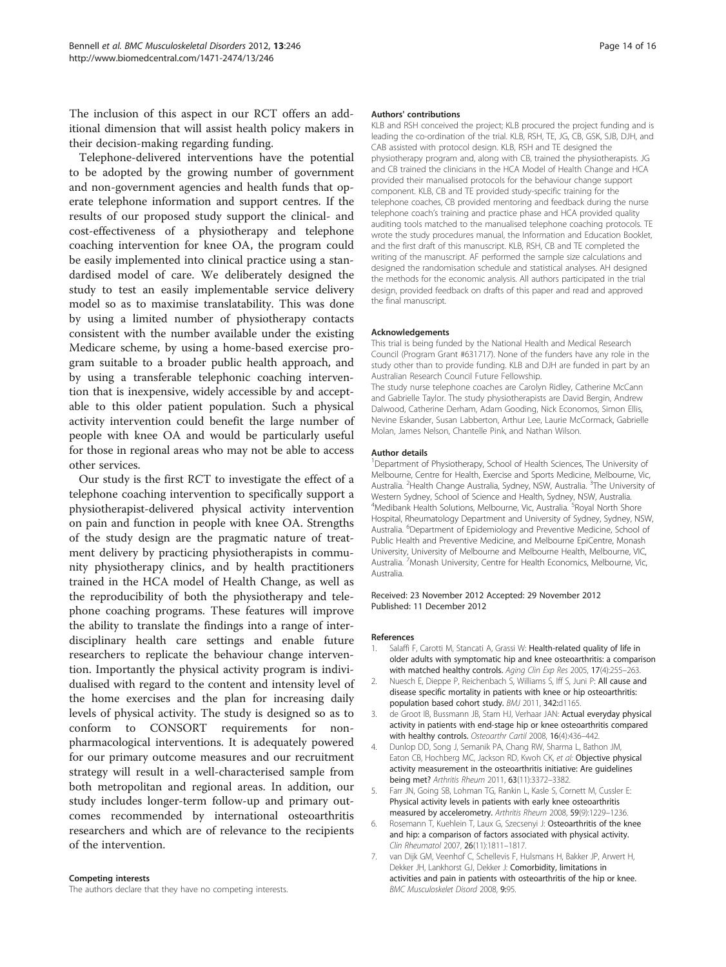<span id="page-13-0"></span>The inclusion of this aspect in our RCT offers an additional dimension that will assist health policy makers in their decision-making regarding funding.

Telephone-delivered interventions have the potential to be adopted by the growing number of government and non-government agencies and health funds that operate telephone information and support centres. If the results of our proposed study support the clinical- and cost-effectiveness of a physiotherapy and telephone coaching intervention for knee OA, the program could be easily implemented into clinical practice using a standardised model of care. We deliberately designed the study to test an easily implementable service delivery model so as to maximise translatability. This was done by using a limited number of physiotherapy contacts consistent with the number available under the existing Medicare scheme, by using a home-based exercise program suitable to a broader public health approach, and by using a transferable telephonic coaching intervention that is inexpensive, widely accessible by and acceptable to this older patient population. Such a physical activity intervention could benefit the large number of people with knee OA and would be particularly useful for those in regional areas who may not be able to access other services.

Our study is the first RCT to investigate the effect of a telephone coaching intervention to specifically support a physiotherapist-delivered physical activity intervention on pain and function in people with knee OA. Strengths of the study design are the pragmatic nature of treatment delivery by practicing physiotherapists in community physiotherapy clinics, and by health practitioners trained in the HCA model of Health Change, as well as the reproducibility of both the physiotherapy and telephone coaching programs. These features will improve the ability to translate the findings into a range of interdisciplinary health care settings and enable future researchers to replicate the behaviour change intervention. Importantly the physical activity program is individualised with regard to the content and intensity level of the home exercises and the plan for increasing daily levels of physical activity. The study is designed so as to conform to CONSORT requirements for nonpharmacological interventions. It is adequately powered for our primary outcome measures and our recruitment strategy will result in a well-characterised sample from both metropolitan and regional areas. In addition, our study includes longer-term follow-up and primary outcomes recommended by international osteoarthritis researchers and which are of relevance to the recipients of the intervention.

#### Competing interests

The authors declare that they have no competing interests.

#### Authors' contributions

KLB and RSH conceived the project; KLB procured the project funding and is leading the co-ordination of the trial. KLB, RSH, TE, JG, CB, GSK, SJB, DJH, and CAB assisted with protocol design. KLB, RSH and TE designed the physiotherapy program and, along with CB, trained the physiotherapists. JG and CB trained the clinicians in the HCA Model of Health Change and HCA provided their manualised protocols for the behaviour change support component. KLB, CB and TE provided study-specific training for the telephone coaches, CB provided mentoring and feedback during the nurse telephone coach's training and practice phase and HCA provided quality auditing tools matched to the manualised telephone coaching protocols. TE wrote the study procedures manual, the Information and Education Booklet, and the first draft of this manuscript. KLB, RSH, CB and TE completed the writing of the manuscript. AF performed the sample size calculations and designed the randomisation schedule and statistical analyses. AH designed the methods for the economic analysis. All authors participated in the trial design, provided feedback on drafts of this paper and read and approved the final manuscript.

#### Acknowledgements

This trial is being funded by the National Health and Medical Research Council (Program Grant #631717). None of the funders have any role in the study other than to provide funding. KLB and DJH are funded in part by an Australian Research Council Future Fellowship.

The study nurse telephone coaches are Carolyn Ridley, Catherine McCann and Gabrielle Taylor. The study physiotherapists are David Bergin, Andrew Dalwood, Catherine Derham, Adam Gooding, Nick Economos, Simon Ellis, Nevine Eskander, Susan Labberton, Arthur Lee, Laurie McCormack, Gabrielle Molan, James Nelson, Chantelle Pink, and Nathan Wilson.

#### Author details

<sup>1</sup>Department of Physiotherapy, School of Health Sciences, The University of Melbourne, Centre for Health, Exercise and Sports Medicine, Melbourne, Vic, Australia. <sup>2</sup> Health Change Australia, Sydney, NSW, Australia. <sup>3</sup> The University of Western Sydney, School of Science and Health, Sydney, NSW, Australia. <sup>4</sup>Medibank Health Solutions, Melbourne, Vic, Australia. <sup>5</sup>Royal North Shore Hospital, Rheumatology Department and University of Sydney, Sydney, NSW, Australia. <sup>6</sup>Department of Epidemiology and Preventive Medicine, School of Public Health and Preventive Medicine, and Melbourne EpiCentre, Monash University, University of Melbourne and Melbourne Health, Melbourne, VIC, Australia. <sup>7</sup> Monash University, Centre for Health Economics, Melbourne, Vic, Australia.

Received: 23 November 2012 Accepted: 29 November 2012 Published: 11 December 2012

#### References

- 1. Salaffi F, Carotti M, Stancati A, Grassi W: Health-related quality of life in older adults with symptomatic hip and knee osteoarthritis: a comparison with matched healthy controls. Aging Clin Exp Res 2005, 17(4):255-263.
- 2. Nuesch E, Dieppe P, Reichenbach S, Williams S, Iff S, Juni P: All cause and disease specific mortality in patients with knee or hip osteoarthritis: population based cohort study. BMJ 2011, 342:d1165.
- de Groot IB, Bussmann JB, Stam HJ, Verhaar JAN: Actual everyday physical activity in patients with end-stage hip or knee osteoarthritis compared with healthy controls. Osteoarthr Cartil 2008, 16(4):436–442.
- 4. Dunlop DD, Song J, Semanik PA, Chang RW, Sharma L, Bathon JM, Eaton CB, Hochberg MC, Jackson RD, Kwoh CK, et al: Objective physical activity measurement in the osteoarthritis initiative: Are guidelines being met? Arthritis Rheum 2011, 63(11):3372–3382.
- 5. Farr JN, Going SB, Lohman TG, Rankin L, Kasle S, Cornett M, Cussler E: Physical activity levels in patients with early knee osteoarthritis measured by accelerometry. Arthritis Rheum 2008, 59(9):1229–1236.
- Rosemann T, Kuehlein T, Laux G, Szecsenyi J: Osteoarthritis of the knee and hip: a comparison of factors associated with physical activity. Clin Rheumatol 2007, 26(11):1811–1817.
- 7. van Dijk GM, Veenhof C, Schellevis F, Hulsmans H, Bakker JP, Arwert H, Dekker JH, Lankhorst GJ, Dekker J: Comorbidity, limitations in activities and pain in patients with osteoarthritis of the hip or knee. BMC Musculoskelet Disord 2008, 9:95.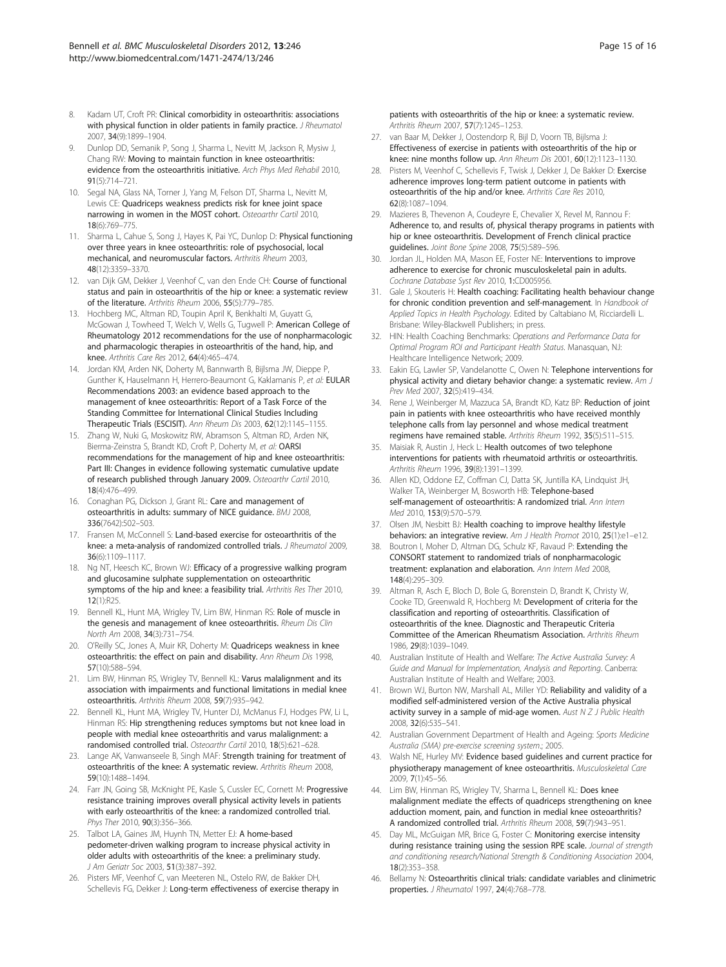- <span id="page-14-0"></span>8. Kadam UT, Croft PR: Clinical comorbidity in osteoarthritis: associations with physical function in older patients in family practice. *J Rheumatol* 2007, 34(9):1899–1904.
- 9. Dunlop DD, Semanik P, Song J, Sharma L, Nevitt M, Jackson R, Mysiw J, Chang RW: Moving to maintain function in knee osteoarthritis: evidence from the osteoarthritis initiative. Arch Phys Med Rehabil 2010, 91(5):714–721.
- 10. Segal NA, Glass NA, Torner J, Yang M, Felson DT, Sharma L, Nevitt M, Lewis CE: Quadriceps weakness predicts risk for knee joint space narrowing in women in the MOST cohort. Osteoarthr Cartil 2010, 18(6):769–775.
- 11. Sharma L, Cahue S, Song J, Hayes K, Pai YC, Dunlop D: Physical functioning over three years in knee osteoarthritis: role of psychosocial, local mechanical, and neuromuscular factors. Arthritis Rheum 2003, 48(12):3359–3370.
- 12. van Dijk GM, Dekker J, Veenhof C, van den Ende CH: Course of functional status and pain in osteoarthritis of the hip or knee: a systematic review of the literature. Arthritis Rheum 2006, 55(5):779–785.
- 13. Hochberg MC, Altman RD, Toupin April K, Benkhalti M, Guyatt G, McGowan J, Towheed T, Welch V, Wells G, Tugwell P: American College of Rheumatology 2012 recommendations for the use of nonpharmacologic and pharmacologic therapies in osteoarthritis of the hand, hip, and knee. Arthritis Care Res 2012, 64(4):465–474.
- 14. Jordan KM, Arden NK, Doherty M, Bannwarth B, Bijlsma JW, Dieppe P, Gunther K, Hauselmann H, Herrero-Beaumont G, Kaklamanis P, et al: EULAR Recommendations 2003: an evidence based approach to the management of knee osteoarthritis: Report of a Task Force of the Standing Committee for International Clinical Studies Including Therapeutic Trials (ESCISIT). Ann Rheum Dis 2003, 62(12):1145–1155.
- 15. Zhang W, Nuki G, Moskowitz RW, Abramson S, Altman RD, Arden NK, Bierma-Zeinstra S, Brandt KD, Croft P, Doherty M, et al: OARSI recommendations for the management of hip and knee osteoarthritis: Part III: Changes in evidence following systematic cumulative update of research published through January 2009. Osteoarthr Cartil 2010, 18(4):476–499.
- 16. Conaghan PG, Dickson J, Grant RL: Care and management of osteoarthritis in adults: summary of NICE guidance. BMJ 2008, 336(7642):502–503.
- 17. Fransen M, McConnell S: Land-based exercise for osteoarthritis of the knee: a meta-analysis of randomized controlled trials. J Rheumatol 2009, 36(6):1109–1117.
- 18. Ng NT, Heesch KC, Brown WJ: Efficacy of a progressive walking program and glucosamine sulphate supplementation on osteoarthritic symptoms of the hip and knee: a feasibility trial. Arthritis Res Ther 2010, 12(1):R25.
- 19. Bennell KL, Hunt MA, Wrigley TV, Lim BW, Hinman RS: Role of muscle in the genesis and management of knee osteoarthritis. Rheum Dis Clin North Am 2008, 34(3):731–754.
- 20. O'Reilly SC, Jones A, Muir KR, Doherty M: Quadriceps weakness in knee osteoarthritis: the effect on pain and disability. Ann Rheum Dis 1998, 57(10):588–594.
- 21. Lim BW, Hinman RS, Wrigley TV, Bennell KL: Varus malalignment and its association with impairments and functional limitations in medial knee osteoarthritis. Arthritis Rheum 2008, 59(7):935–942.
- 22. Bennell KL, Hunt MA, Wrigley TV, Hunter DJ, McManus FJ, Hodges PW, Li L, Hinman RS: Hip strengthening reduces symptoms but not knee load in people with medial knee osteoarthritis and varus malalignment: a randomised controlled trial. Osteoarthr Cartil 2010, 18(5):621–628.
- 23. Lange AK, Vanwanseele B, Singh MAF: Strength training for treatment of osteoarthritis of the knee: A systematic review. Arthritis Rheum 2008, 59(10):1488–1494.
- 24. Farr JN, Going SB, McKnight PE, Kasle S, Cussler EC, Cornett M: Progressive resistance training improves overall physical activity levels in patients with early osteoarthritis of the knee: a randomized controlled trial. Phys Ther 2010, 90(3):356-366.
- 25. Talbot LA, Gaines JM, Huynh TN, Metter EJ: A home-based pedometer-driven walking program to increase physical activity in older adults with osteoarthritis of the knee: a preliminary study. J Am Geriatr Soc 2003, 51(3):387–392.
- 26. Pisters MF, Veenhof C, van Meeteren NL, Ostelo RW, de Bakker DH, Schellevis FG, Dekker J: Long-term effectiveness of exercise therapy in

patients with osteoarthritis of the hip or knee: a systematic review. Arthritis Rheum 2007, 57(7):1245–1253.

- 27. van Baar M, Dekker J, Oostendorp R, Bijl D, Voorn TB, Bijlsma J: Effectiveness of exercise in patients with osteoarthritis of the hip or knee: nine months follow up. Ann Rheum Dis 2001, 60(12):1123–1130.
- 28. Pisters M, Veenhof C, Schellevis F, Twisk J, Dekker J, De Bakker D: Exercise adherence improves long-term patient outcome in patients with osteoarthritis of the hip and/or knee. Arthritis Care Res 2010, 62(8):1087–1094.
- 29. Mazieres B, Thevenon A, Coudeyre E, Chevalier X, Revel M, Rannou F: Adherence to, and results of, physical therapy programs in patients with hip or knee osteoarthritis. Development of French clinical practice guidelines. Joint Bone Spine 2008, 75(5):589–596.
- 30. Jordan JL, Holden MA, Mason EE, Foster NE: Interventions to improve adherence to exercise for chronic musculoskeletal pain in adults. Cochrane Database Syst Rev 2010, 1:CD005956.
- 31. Gale J, Skouteris H: Health coaching: Facilitating health behaviour change for chronic condition prevention and self-management. In Handbook of Applied Topics in Health Psychology. Edited by Caltabiano M, Ricciardelli L. Brisbane: Wiley-Blackwell Publishers; in press.
- 32. HIN: Health Coaching Benchmarks: Operations and Performance Data for Optimal Program ROI and Participant Health Status. Manasquan, NJ: Healthcare Intelligence Network; 2009.
- 33. Eakin EG, Lawler SP, Vandelanotte C, Owen N: Telephone interventions for physical activity and dietary behavior change: a systematic review. Am J Prev Med 2007, 32(5):419–434.
- 34. Rene J, Weinberger M, Mazzuca SA, Brandt KD, Katz BP: Reduction of joint pain in patients with knee osteoarthritis who have received monthly telephone calls from lay personnel and whose medical treatment regimens have remained stable. Arthritis Rheum 1992, 35(5):511–515.
- 35. Maisiak R, Austin J, Heck L: Health outcomes of two telephone interventions for patients with rheumatoid arthritis or osteoarthritis. Arthritis Rheum 1996, 39(8):1391–1399.
- 36. Allen KD, Oddone EZ, Coffman CJ, Datta SK, Juntilla KA, Lindquist JH, Walker TA, Weinberger M, Bosworth HB: Telephone-based self-management of osteoarthritis: A randomized trial. Ann Intern Med 2010, 153(9):570–579.
- 37. Olsen JM, Nesbitt BJ: Health coaching to improve healthy lifestyle behaviors: an integrative review. Am J Health Promot 2010, 25(1):e1-e12.
- 38. Boutron I, Moher D, Altman DG, Schulz KF, Ravaud P: Extending the CONSORT statement to randomized trials of nonpharmacologic treatment: explanation and elaboration. Ann Intern Med 2008, 148(4):295–309.
- 39. Altman R, Asch E, Bloch D, Bole G, Borenstein D, Brandt K, Christy W, Cooke TD, Greenwald R, Hochberg M: Development of criteria for the classification and reporting of osteoarthritis. Classification of osteoarthritis of the knee. Diagnostic and Therapeutic Criteria Committee of the American Rheumatism Association. Arthritis Rheum 1986, 29(8):1039–1049.
- 40. Australian Institute of Health and Welfare: The Active Australia Survey: A Guide and Manual for Implementation, Analysis and Reporting. Canberra: Australian Institute of Health and Welfare; 2003.
- 41. Brown WJ, Burton NW, Marshall AL, Miller YD: Reliability and validity of a modified self-administered version of the Active Australia physical activity survey in a sample of mid-age women. Aust  $N Z J$  Public Health 2008, 32(6):535–541.
- 42. Australian Government Department of Health and Ageing: Sports Medicine Australia (SMA) pre-exercise screening system.; 2005.
- 43. Walsh NE, Hurley MV: Evidence based quidelines and current practice for physiotherapy management of knee osteoarthritis. Musculoskeletal Care 2009, 7(1):45–56.
- 44. Lim BW, Hinman RS, Wrigley TV, Sharma L, Bennell KL: Does knee malalignment mediate the effects of quadriceps strengthening on knee adduction moment, pain, and function in medial knee osteoarthritis? A randomized controlled trial. Arthritis Rheum 2008, 59(7):943-951.
- 45. Day ML, McGuigan MR, Brice G, Foster C: Monitoring exercise intensity during resistance training using the session RPE scale. Journal of strength and conditioning research/National Strength & Conditioning Association 2004, 18(2):353–358.
- 46. Bellamy N: Osteoarthritis clinical trials: candidate variables and clinimetric properties. J Rheumatol 1997, 24(4):768–778.